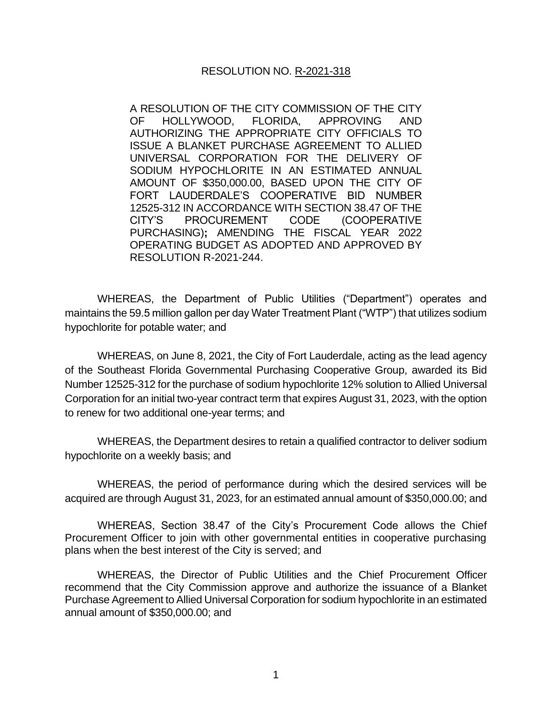## RESOLUTION NO. R-2021-318

A RESOLUTION OF THE CITY COMMISSION OF THE CITY OF HOLLYWOOD, FLORIDA, APPROVING AND AUTHORIZING THE APPROPRIATE CITY OFFICIALS TO ISSUE A BLANKET PURCHASE AGREEMENT TO ALLIED UNIVERSAL CORPORATION FOR THE DELIVERY OF SODIUM HYPOCHLORITE IN AN ESTIMATED ANNUAL AMOUNT OF \$350,000.00, BASED UPON THE CITY OF FORT LAUDERDALE'S COOPERATIVE BID NUMBER 12525-312 IN ACCORDANCE WITH SECTION 38.47 OF THE CITY'S PROCUREMENT CODE (COOPERATIVE PURCHASING)**;** AMENDING THE FISCAL YEAR 2022 OPERATING BUDGET AS ADOPTED AND APPROVED BY RESOLUTION R-2021-244.

WHEREAS, the Department of Public Utilities ("Department") operates and maintains the 59.5 million gallon per day Water Treatment Plant ("WTP") that utilizes sodium hypochlorite for potable water; and

WHEREAS, on June 8, 2021, the City of Fort Lauderdale, acting as the lead agency of the Southeast Florida Governmental Purchasing Cooperative Group, awarded its Bid Number 12525-312 for the purchase of sodium hypochlorite 12% solution to Allied Universal Corporation for an initial two-year contract term that expires August 31, 2023, with the option to renew for two additional one-year terms; and

WHEREAS, the Department desires to retain a qualified contractor to deliver sodium hypochlorite on a weekly basis; and

WHEREAS, the period of performance during which the desired services will be acquired are through August 31, 2023, for an estimated annual amount of \$350,000.00; and

WHEREAS, Section 38.47 of the City's Procurement Code allows the Chief Procurement Officer to join with other governmental entities in cooperative purchasing plans when the best interest of the City is served; and

WHEREAS, the Director of Public Utilities and the Chief Procurement Officer recommend that the City Commission approve and authorize the issuance of a Blanket Purchase Agreement to Allied Universal Corporation for sodium hypochlorite in an estimated annual amount of \$350,000.00; and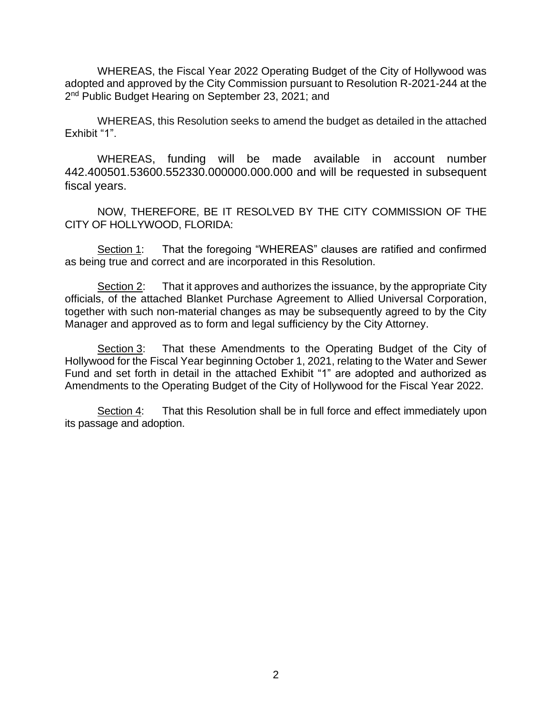WHEREAS, the Fiscal Year 2022 Operating Budget of the City of Hollywood was adopted and approved by the City Commission pursuant to Resolution R-2021-244 at the 2<sup>nd</sup> Public Budget Hearing on September 23, 2021; and

WHEREAS, this Resolution seeks to amend the budget as detailed in the attached Exhibit "1".

WHEREAS, funding will be made available in account number 442.400501.53600.552330.000000.000.000 and will be requested in subsequent fiscal years.

NOW, THEREFORE, BE IT RESOLVED BY THE CITY COMMISSION OF THE CITY OF HOLLYWOOD, FLORIDA:

Section 1: That the foregoing "WHEREAS" clauses are ratified and confirmed as being true and correct and are incorporated in this Resolution.

Section 2: That it approves and authorizes the issuance, by the appropriate City officials, of the attached Blanket Purchase Agreement to Allied Universal Corporation, together with such non-material changes as may be subsequently agreed to by the City Manager and approved as to form and legal sufficiency by the City Attorney.

Section 3: That these Amendments to the Operating Budget of the City of Hollywood for the Fiscal Year beginning October 1, 2021, relating to the Water and Sewer Fund and set forth in detail in the attached Exhibit "1" are adopted and authorized as Amendments to the Operating Budget of the City of Hollywood for the Fiscal Year 2022.

Section 4: That this Resolution shall be in full force and effect immediately upon its passage and adoption.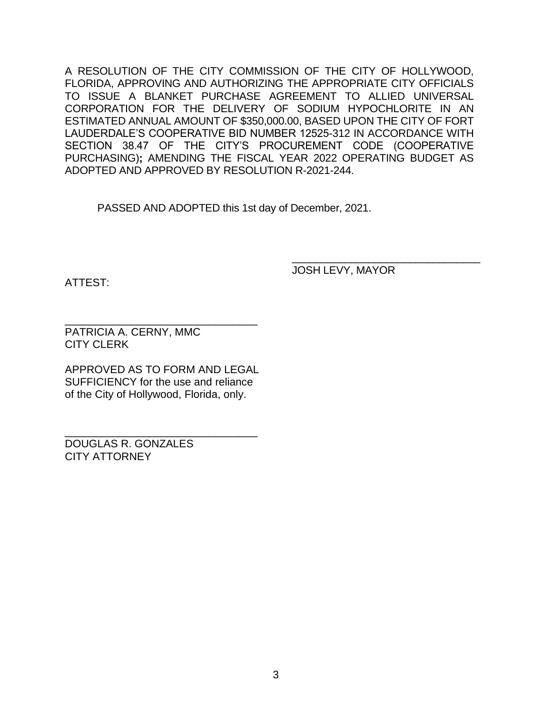A RESOLUTION OF THE CITY COMMISSION OF THE CITY OF HOLLYWOOD, FLORIDA, APPROVING AND AUTHORIZING THE APPROPRIATE CITY OFFICIALS TO ISSUE A BLANKET PURCHASE AGREEMENT TO ALLIED UNIVERSAL CORPORATION FOR THE DELIVERY OF SODIUM HYPOCHLORITE IN AN ESTIMATED ANNUAL AMOUNT OF \$350,000.00, BASED UPON THE CITY OF FORT LAUDERDALE'S COOPERATIVE BID NUMBER 12525-312 IN ACCORDANCE WITH SECTION 38.47 OF THE CITY'S PROCUREMENT CODE (COOPERATIVE PURCHASING)**;** AMENDING THE FISCAL YEAR 2022 OPERATING BUDGET AS ADOPTED AND APPROVED BY RESOLUTION R-2021-244.

PASSED AND ADOPTED this 1st day of December, 2021.

ATTEST:

JOSH LEVY, MAYOR

\_\_\_\_\_\_\_\_\_\_\_\_\_\_\_\_\_\_\_\_\_\_\_\_\_\_\_\_\_\_\_\_

\_\_\_\_\_\_\_\_\_\_\_\_\_\_\_\_\_\_\_\_\_\_\_\_\_\_\_\_\_\_\_\_ PATRICIA A. CERNY, MMC CITY CLERK

APPROVED AS TO FORM AND LEGAL SUFFICIENCY for the use and reliance of the City of Hollywood, Florida, only.

\_\_\_\_\_\_\_\_\_\_\_\_\_\_\_\_\_\_\_\_\_\_\_\_\_\_\_\_\_\_\_\_ DOUGLAS R. GONZALES CITY ATTORNEY